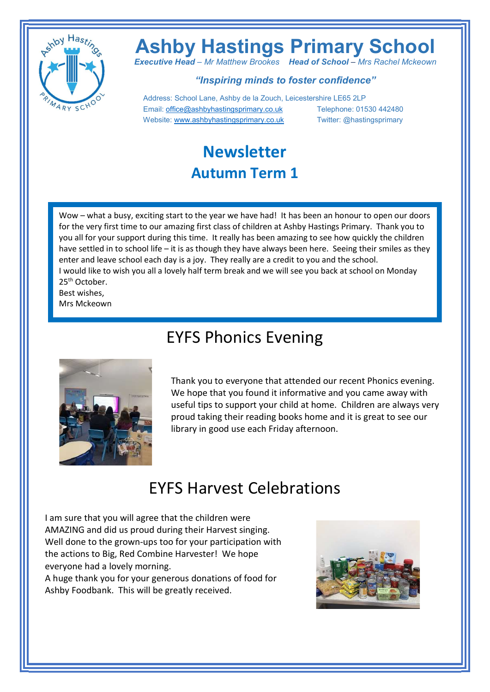

# Ashby Hastings Primary School

**Executive Head – Mr Matthew Brookes Head of School – Mrs Rachel Mckeown** 

#### "Inspiring minds to foster confidence"

 Address: School Lane, Ashby de la Zouch, Leicestershire LE65 2LP Email: office@ashbyhastingsprimary.co.uk Telephone: 01530 442480 Website: www.ashbyhastingsprimary.co.uk Twitter: @hastingsprimary

#### Newsletter Autumn Term 1

Wow – what a busy, exciting start to the year we have had! It has been an honour to open our doors for the very first time to our amazing first class of children at Ashby Hastings Primary. Thank you to you all for your support during this time. It really has been amazing to see how quickly the children have settled in to school life – it is as though they have always been here. Seeing their smiles as they enter and leave school each day is a joy. They really are a credit to you and the school. I would like to wish you all a lovely half term break and we will see you back at school on Monday 25<sup>th</sup> October. Best wishes,

Mrs Mckeown



#### EYFS Phonics Evening

Thank you to everyone that attended our recent Phonics evening. We hope that you found it informative and you came away with useful tips to support your child at home. Children are always very proud taking their reading books home and it is great to see our library in good use each Friday afternoon.

#### EYFS Harvest Celebrations

I am sure that you will agree that the children were AMAZING and did us proud during their Harvest singing. Well done to the grown-ups too for your participation with the actions to Big, Red Combine Harvester! We hope everyone had a lovely morning.

A huge thank you for your generous donations of food for Ashby Foodbank. This will be greatly received.